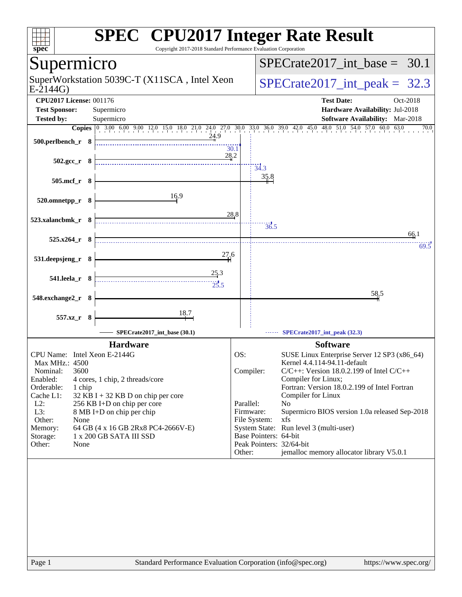| spec <sup>®</sup>                                                                    | <b>SPEC<sup>®</sup></b> CPU2017 Integer Rate Result<br>Copyright 2017-2018 Standard Performance Evaluation Corporation                                              |
|--------------------------------------------------------------------------------------|---------------------------------------------------------------------------------------------------------------------------------------------------------------------|
| Supermicro                                                                           | $SPECrate2017\_int\_base = 30.1$                                                                                                                                    |
| SuperWorkstation 5039C-T (X11SCA, Intel Xeon<br>$E-2144G$                            | $SPECTate2017\_int\_peak = 32.3$                                                                                                                                    |
| <b>CPU2017 License: 001176</b>                                                       | <b>Test Date:</b><br>Oct-2018                                                                                                                                       |
| <b>Test Sponsor:</b><br>Supermicro                                                   | Hardware Availability: Jul-2018                                                                                                                                     |
| <b>Tested by:</b><br>Supermicro                                                      | <b>Software Availability:</b> Mar-2018<br>Copies 0 3.00 6.00 9.00 12.0 15.0 18.0 21.0 24.0 27.0 30.0 33.0 36.0 39.0 42.0 45.0 48.0 51.0 54.0 57.0 60.0 63.0<br>70.0 |
| 24.9<br>500.perlbench_r 8                                                            | 30.1                                                                                                                                                                |
| $502.\text{gcc r}$ 8                                                                 | 28.2<br>34.3                                                                                                                                                        |
| 505.mcf_r 8                                                                          | 35.8                                                                                                                                                                |
| 16.9<br>520.omnetpp_r 8                                                              |                                                                                                                                                                     |
| 523.xalancbmk_r 8                                                                    | 28.8<br>$\overline{36.5}$<br>66.1                                                                                                                                   |
| $525.x264_r$ 8                                                                       | 69.5                                                                                                                                                                |
| 27.6<br>531.deepsjeng_r 8                                                            |                                                                                                                                                                     |
| 25.3<br>541.leela_r 8<br>25.5                                                        |                                                                                                                                                                     |
| 548.exchange2_r 8                                                                    | 58,5                                                                                                                                                                |
| $\frac{18.7}{4}$<br>557.xz_r 8                                                       |                                                                                                                                                                     |
| SPECrate2017_int_base (30.1)                                                         | SPECrate2017_int_peak (32.3)                                                                                                                                        |
| <b>Hardware</b>                                                                      | <b>Software</b>                                                                                                                                                     |
| CPU Name: Intel Xeon E-2144G<br>Max MHz.: 4500                                       | OS:<br>SUSE Linux Enterprise Server 12 SP3 (x86_64)<br>Kernel 4.4.114-94.11-default                                                                                 |
| 3600<br>Nominal:                                                                     | Compiler:<br>$C/C++$ : Version 18.0.2.199 of Intel $C/C++$                                                                                                          |
| Enabled:<br>4 cores, 1 chip, 2 threads/core<br>Orderable:<br>1 chip                  | Compiler for Linux;<br>Fortran: Version 18.0.2.199 of Intel Fortran                                                                                                 |
| Cache L1:<br>$32$ KB I + 32 KB D on chip per core                                    | Compiler for Linux                                                                                                                                                  |
| $L2$ :<br>256 KB I+D on chip per core<br>L3:<br>8 MB I+D on chip per chip            | Parallel:<br>N <sub>0</sub><br>Firmware:<br>Supermicro BIOS version 1.0a released Sep-2018                                                                          |
| Other:<br>None                                                                       | File System:<br>xfs                                                                                                                                                 |
| Memory:<br>64 GB (4 x 16 GB 2Rx8 PC4-2666V-E)<br>1 x 200 GB SATA III SSD<br>Storage: | System State: Run level 3 (multi-user)<br>Base Pointers: 64-bit                                                                                                     |
| Other:<br>None                                                                       | Peak Pointers: 32/64-bit                                                                                                                                            |
|                                                                                      | jemalloc memory allocator library V5.0.1<br>Other:                                                                                                                  |
|                                                                                      |                                                                                                                                                                     |
|                                                                                      |                                                                                                                                                                     |
| Page 1                                                                               | Standard Performance Evaluation Corporation (info@spec.org)<br>https://www.spec.org/                                                                                |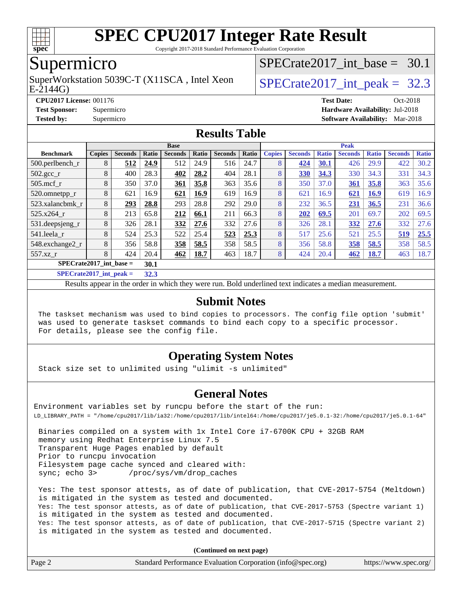

Copyright 2017-2018 Standard Performance Evaluation Corporation

## Supermicro

E-2144G) SuperWorkstation 5039C-T (X11SCA, Intel Xeon  $\big|$  SPECrate 2017 int peak = 32.3

SPECrate2017 int\_base =  $30.1$ 

**[CPU2017 License:](http://www.spec.org/auto/cpu2017/Docs/result-fields.html#CPU2017License)** 001176 **[Test Date:](http://www.spec.org/auto/cpu2017/Docs/result-fields.html#TestDate)** Oct-2018 **[Test Sponsor:](http://www.spec.org/auto/cpu2017/Docs/result-fields.html#TestSponsor)** Supermicro **[Hardware Availability:](http://www.spec.org/auto/cpu2017/Docs/result-fields.html#HardwareAvailability)** Jul-2018 **[Tested by:](http://www.spec.org/auto/cpu2017/Docs/result-fields.html#Testedby)** Supermicro **[Software Availability:](http://www.spec.org/auto/cpu2017/Docs/result-fields.html#SoftwareAvailability)** Mar-2018

### **[Results Table](http://www.spec.org/auto/cpu2017/Docs/result-fields.html#ResultsTable)**

|                               | <b>Base</b>   |                |       |                |       |                |       |               | <b>Peak</b>    |              |                |              |                |              |  |  |  |  |
|-------------------------------|---------------|----------------|-------|----------------|-------|----------------|-------|---------------|----------------|--------------|----------------|--------------|----------------|--------------|--|--|--|--|
| <b>Benchmark</b>              | <b>Copies</b> | <b>Seconds</b> | Ratio | <b>Seconds</b> | Ratio | <b>Seconds</b> | Ratio | <b>Copies</b> | <b>Seconds</b> | <b>Ratio</b> | <b>Seconds</b> | <b>Ratio</b> | <b>Seconds</b> | <b>Ratio</b> |  |  |  |  |
| 500.perlbench_r               | 8             | 512            | 24.9  | 512            | 24.9  | 516            | 24.7  | 8             | 424            | 30.1         | 426            | 29.9         | 422            | 30.2         |  |  |  |  |
| $502.\text{gcc}$ <sub>r</sub> | 8             | 400            | 28.3  | 402            | 28.2  | 404            | 28.1  | 8             | 330            | 34.3         | 330            | 34.3         | 331            | 34.3         |  |  |  |  |
| $505$ .mcf r                  | 8             | 350            | 37.0  | 361            | 35.8  | 363            | 35.6  | 8             | 350            | 37.0         | 361            | 35.8         | 363            | 35.6         |  |  |  |  |
| 520.omnetpp_r                 | 8             | 621            | 16.9  | 621            | 16.9  | 619            | 16.9  | 8             | 621            | 16.9         | 621            | 16.9         | 619            | 16.9         |  |  |  |  |
| 523.xalancbmk r               | 8             | 293            | 28.8  | 293            | 28.8  | 292            | 29.0  | 8             | 232            | 36.5         | 231            | 36.5         | 231            | 36.6         |  |  |  |  |
| 525.x264 r                    | 8             | 213            | 65.8  | 212            | 66.1  | 211            | 66.3  | 8             | 202            | 69.5         | 201            | 69.7         | 202            | 69.5         |  |  |  |  |
| 531.deepsjeng_r               | 8             | 326            | 28.1  | 332            | 27.6  | 332            | 27.6  | 8             | 326            | 28.1         | 332            | 27.6         | 332            | 27.6         |  |  |  |  |
| 541.leela_r                   | 8             | 524            | 25.3  | 522            | 25.4  | 523            | 25.3  | 8             | 517            | 25.6         | 521            | 25.5         | 519            | 25.5         |  |  |  |  |
| 548.exchange2_r               | 8             | 356            | 58.8  | 358            | 58.5  | 358            | 58.5  | 8             | 356            | 58.8         | 358            | 58.5         | 358            | 58.5         |  |  |  |  |
| 557.xz r                      | 8             | 424            | 20.4  | 462            | 18.7  | 463            | 18.7  | 8             | 424            | 20.4         | 462            | 18.7         | 463            | 18.7         |  |  |  |  |
| $SPECrate2017$ int base =     |               |                |       |                |       |                |       |               |                |              |                |              |                |              |  |  |  |  |

**[SPECrate2017\\_int\\_peak =](http://www.spec.org/auto/cpu2017/Docs/result-fields.html#SPECrate2017intpeak) 32.3**

Results appear in the [order in which they were run](http://www.spec.org/auto/cpu2017/Docs/result-fields.html#RunOrder). Bold underlined text [indicates a median measurement](http://www.spec.org/auto/cpu2017/Docs/result-fields.html#Median).

### **[Submit Notes](http://www.spec.org/auto/cpu2017/Docs/result-fields.html#SubmitNotes)**

 The taskset mechanism was used to bind copies to processors. The config file option 'submit' was used to generate taskset commands to bind each copy to a specific processor. For details, please see the config file.

### **[Operating System Notes](http://www.spec.org/auto/cpu2017/Docs/result-fields.html#OperatingSystemNotes)**

Stack size set to unlimited using "ulimit -s unlimited"

### **[General Notes](http://www.spec.org/auto/cpu2017/Docs/result-fields.html#GeneralNotes)**

Environment variables set by runcpu before the start of the run: LD\_LIBRARY\_PATH = "/home/cpu2017/lib/ia32:/home/cpu2017/lib/intel64:/home/cpu2017/je5.0.1-32:/home/cpu2017/je5.0.1-64"

 Binaries compiled on a system with 1x Intel Core i7-6700K CPU + 32GB RAM memory using Redhat Enterprise Linux 7.5 Transparent Huge Pages enabled by default Prior to runcpu invocation Filesystem page cache synced and cleared with: sync; echo 3> /proc/sys/vm/drop\_caches

 Yes: The test sponsor attests, as of date of publication, that CVE-2017-5754 (Meltdown) is mitigated in the system as tested and documented. Yes: The test sponsor attests, as of date of publication, that CVE-2017-5753 (Spectre variant 1) is mitigated in the system as tested and documented. Yes: The test sponsor attests, as of date of publication, that CVE-2017-5715 (Spectre variant 2) is mitigated in the system as tested and documented.

**(Continued on next page)**

| Page 2 | Standard Performance Evaluation Corporation (info@spec.org) | https://www.spec.org/ |
|--------|-------------------------------------------------------------|-----------------------|
|        |                                                             |                       |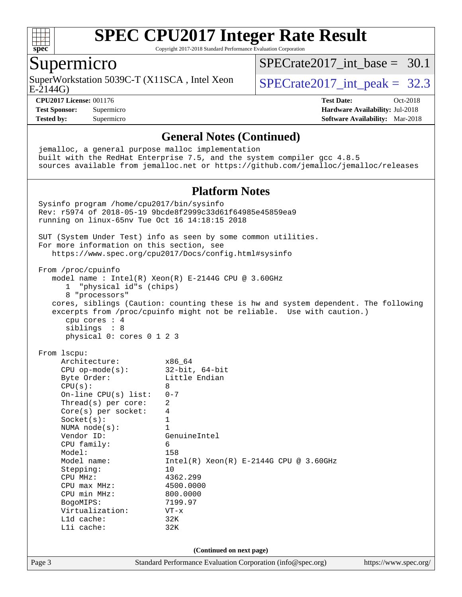

Copyright 2017-2018 Standard Performance Evaluation Corporation

## Supermicro

E-2144G) SuperWorkstation 5039C-T (X11SCA, Intel Xeon  $\big|$  SPECrate2017 int peak = 32.3

SPECrate2017 int\_base =  $30.1$ 

**[CPU2017 License:](http://www.spec.org/auto/cpu2017/Docs/result-fields.html#CPU2017License)** 001176 **[Test Date:](http://www.spec.org/auto/cpu2017/Docs/result-fields.html#TestDate)** Oct-2018 **[Test Sponsor:](http://www.spec.org/auto/cpu2017/Docs/result-fields.html#TestSponsor)** Supermicro **[Hardware Availability:](http://www.spec.org/auto/cpu2017/Docs/result-fields.html#HardwareAvailability)** Jul-2018 **[Tested by:](http://www.spec.org/auto/cpu2017/Docs/result-fields.html#Testedby)** Supermicro **[Software Availability:](http://www.spec.org/auto/cpu2017/Docs/result-fields.html#SoftwareAvailability)** Mar-2018

#### **[General Notes \(Continued\)](http://www.spec.org/auto/cpu2017/Docs/result-fields.html#GeneralNotes)**

Page 3 Standard Performance Evaluation Corporation [\(info@spec.org\)](mailto:info@spec.org) <https://www.spec.org/> jemalloc, a general purpose malloc implementation built with the RedHat Enterprise 7.5, and the system compiler gcc 4.8.5 sources available from jemalloc.net or <https://github.com/jemalloc/jemalloc/releases> **[Platform Notes](http://www.spec.org/auto/cpu2017/Docs/result-fields.html#PlatformNotes)** Sysinfo program /home/cpu2017/bin/sysinfo Rev: r5974 of 2018-05-19 9bcde8f2999c33d61f64985e45859ea9 running on linux-65nv Tue Oct 16 14:18:15 2018 SUT (System Under Test) info as seen by some common utilities. For more information on this section, see <https://www.spec.org/cpu2017/Docs/config.html#sysinfo> From /proc/cpuinfo model name : Intel(R) Xeon(R) E-2144G CPU @ 3.60GHz 1 "physical id"s (chips) 8 "processors" cores, siblings (Caution: counting these is hw and system dependent. The following excerpts from /proc/cpuinfo might not be reliable. Use with caution.) cpu cores : 4 siblings : 8 physical 0: cores 0 1 2 3 From lscpu: Architecture: x86\_64 CPU op-mode(s): 32-bit, 64-bit Byte Order: Little Endian  $CPU(s):$  8 On-line CPU(s) list: 0-7 Thread(s) per core: 2 Core(s) per socket: 4 Socket(s): 1 NUMA node(s): 1<br>Vendor ID: Ge GenuineIntel CPU family: 6 Model: 158 Model name: Intel(R) Xeon(R) E-2144G CPU @ 3.60GHz Stepping: 10 CPU MHz: 4362.299 CPU max MHz: 4500.0000<br>CPU min MHz: 800.0000 CPU min MHz: BogoMIPS: 7199.97 Virtualization: VT-x L1d cache: 32K L1i cache: 32K **(Continued on next page)**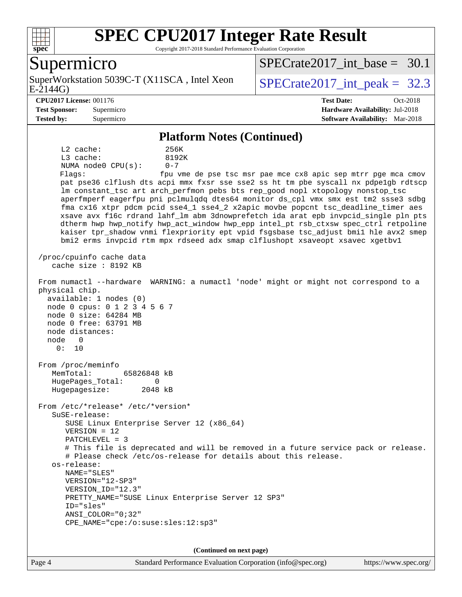

Copyright 2017-2018 Standard Performance Evaluation Corporation

### Supermicro

E-2144G) SuperWorkstation 5039C-T (X11SCA, Intel Xeon  $\big|$  SPECrate2017 int peak = 32.3

SPECrate2017 int\_base =  $30.1$ 

#### **[CPU2017 License:](http://www.spec.org/auto/cpu2017/Docs/result-fields.html#CPU2017License)** 001176 **[Test Date:](http://www.spec.org/auto/cpu2017/Docs/result-fields.html#TestDate)** Oct-2018

**[Test Sponsor:](http://www.spec.org/auto/cpu2017/Docs/result-fields.html#TestSponsor)** Supermicro **[Hardware Availability:](http://www.spec.org/auto/cpu2017/Docs/result-fields.html#HardwareAvailability)** Jul-2018 **[Tested by:](http://www.spec.org/auto/cpu2017/Docs/result-fields.html#Testedby)** Supermicro **[Software Availability:](http://www.spec.org/auto/cpu2017/Docs/result-fields.html#SoftwareAvailability)** Mar-2018

#### **[Platform Notes \(Continued\)](http://www.spec.org/auto/cpu2017/Docs/result-fields.html#PlatformNotes)**

 L2 cache: 256K L3 cache: 8192K NUMA node0 CPU(s): 0-7 Flags: fpu vme de pse tsc msr pae mce cx8 apic sep mtrr pge mca cmov pat pse36 clflush dts acpi mmx fxsr sse sse2 ss ht tm pbe syscall nx pdpe1gb rdtscp lm constant\_tsc art arch\_perfmon pebs bts rep\_good nopl xtopology nonstop\_tsc aperfmperf eagerfpu pni pclmulqdq dtes64 monitor ds\_cpl vmx smx est tm2 ssse3 sdbg fma cx16 xtpr pdcm pcid sse4\_1 sse4\_2 x2apic movbe popcnt tsc\_deadline\_timer aes xsave avx f16c rdrand lahf\_lm abm 3dnowprefetch ida arat epb invpcid\_single pln pts dtherm hwp hwp\_notify hwp\_act\_window hwp\_epp intel\_pt rsb\_ctxsw spec\_ctrl retpoline kaiser tpr\_shadow vnmi flexpriority ept vpid fsgsbase tsc\_adjust bmi1 hle avx2 smep bmi2 erms invpcid rtm mpx rdseed adx smap clflushopt xsaveopt xsavec xgetbv1 /proc/cpuinfo cache data cache size : 8192 KB From numactl --hardware WARNING: a numactl 'node' might or might not correspond to a physical chip. available: 1 nodes (0) node 0 cpus: 0 1 2 3 4 5 6 7 node 0 size: 64284 MB node 0 free: 63791 MB node distances: node 0 0: 10 From /proc/meminfo MemTotal: 65826848 kB HugePages\_Total: 0 Hugepagesize: 2048 kB From /etc/\*release\* /etc/\*version\* SuSE-release: SUSE Linux Enterprise Server 12 (x86\_64) VERSION = 12 PATCHLEVEL = 3 # This file is deprecated and will be removed in a future service pack or release. # Please check /etc/os-release for details about this release. os-release: NAME="SLES" VERSION="12-SP3" VERSION\_ID="12.3" PRETTY\_NAME="SUSE Linux Enterprise Server 12 SP3" ID="sles" ANSI\_COLOR="0;32" CPE\_NAME="cpe:/o:suse:sles:12:sp3"

**(Continued on next page)**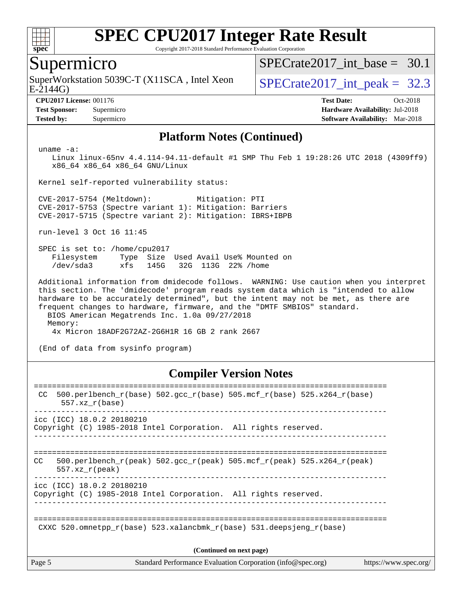

Copyright 2017-2018 Standard Performance Evaluation Corporation

### Supermicro

 $E-2144G$ SuperWorkstation 5039C-T (X11SCA, Intel Xeon  $\big|$  SPECrate2017 int peak = 32.3

SPECrate2017 int\_base =  $30.1$ 

**[CPU2017 License:](http://www.spec.org/auto/cpu2017/Docs/result-fields.html#CPU2017License)** 001176 **[Test Date:](http://www.spec.org/auto/cpu2017/Docs/result-fields.html#TestDate)** Oct-2018 **[Test Sponsor:](http://www.spec.org/auto/cpu2017/Docs/result-fields.html#TestSponsor)** Supermicro **[Hardware Availability:](http://www.spec.org/auto/cpu2017/Docs/result-fields.html#HardwareAvailability)** Jul-2018 **[Tested by:](http://www.spec.org/auto/cpu2017/Docs/result-fields.html#Testedby)** Supermicro **[Software Availability:](http://www.spec.org/auto/cpu2017/Docs/result-fields.html#SoftwareAvailability)** Mar-2018

#### **[Platform Notes \(Continued\)](http://www.spec.org/auto/cpu2017/Docs/result-fields.html#PlatformNotes)**

uname -a:

 Linux linux-65nv 4.4.114-94.11-default #1 SMP Thu Feb 1 19:28:26 UTC 2018 (4309ff9) x86\_64 x86\_64 x86\_64 GNU/Linux

Kernel self-reported vulnerability status:

 CVE-2017-5754 (Meltdown): Mitigation: PTI CVE-2017-5753 (Spectre variant 1): Mitigation: Barriers CVE-2017-5715 (Spectre variant 2): Mitigation: IBRS+IBPB

run-level 3 Oct 16 11:45

 SPEC is set to: /home/cpu2017 Filesystem Type Size Used Avail Use% Mounted on /dev/sda3 xfs 145G 32G 113G 22% /home

 Additional information from dmidecode follows. WARNING: Use caution when you interpret this section. The 'dmidecode' program reads system data which is "intended to allow hardware to be accurately determined", but the intent may not be met, as there are frequent changes to hardware, firmware, and the "DMTF SMBIOS" standard. BIOS American Megatrends Inc. 1.0a 09/27/2018

Memory:

4x Micron 18ADF2G72AZ-2G6H1R 16 GB 2 rank 2667

(End of data from sysinfo program)

#### **[Compiler Version Notes](http://www.spec.org/auto/cpu2017/Docs/result-fields.html#CompilerVersionNotes)**

| Page 5 |                           | Standard Performance Evaluation Corporation (info@spec.org)                | https://www.spec.org/ |
|--------|---------------------------|----------------------------------------------------------------------------|-----------------------|
|        |                           | (Continued on next page)                                                   |                       |
|        |                           | CXXC 520.omnetpp $r(base)$ 523.xalancbmk $r(base)$ 531.deepsjeng $r(base)$ |                       |
|        | icc (ICC) 18.0.2 20180210 | Copyright (C) 1985-2018 Intel Corporation. All rights reserved.            |                       |
| CC.    | $557.xx$ r(peak)          | 500.perlbench r(peak) 502.qcc r(peak) 505.mcf r(peak) 525.x264 r(peak)     |                       |
|        | icc (ICC) 18.0.2 20180210 | Copyright (C) 1985-2018 Intel Corporation. All rights reserved.            |                       |
| CC.    | $557.xx$ $r(base)$        | 500.perlbench_r(base) 502.gcc_r(base) 505.mcf_r(base) 525.x264_r(base)     |                       |
|        |                           |                                                                            |                       |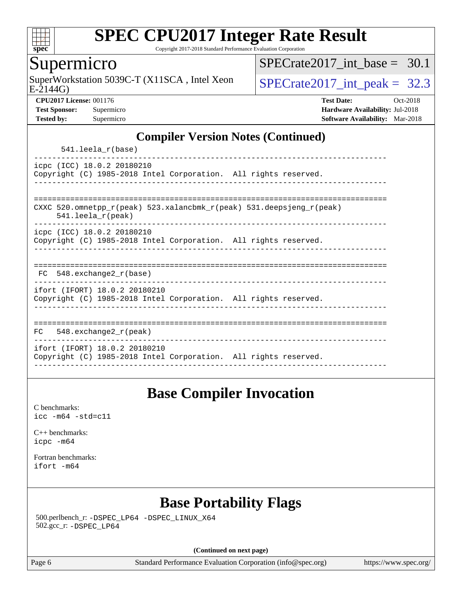

Copyright 2017-2018 Standard Performance Evaluation Corporation

## Supermicro

SuperWorkstation 5039C-T (X11SCA, Intel Xeon<br>E-2144G)

SPECrate2017 int\_base =  $30.1$ 

SPECrate  $2017$  int peak = 32.3

**[CPU2017 License:](http://www.spec.org/auto/cpu2017/Docs/result-fields.html#CPU2017License)** 001176 **[Test Date:](http://www.spec.org/auto/cpu2017/Docs/result-fields.html#TestDate)** Oct-2018 **[Test Sponsor:](http://www.spec.org/auto/cpu2017/Docs/result-fields.html#TestSponsor)** Supermicro **[Hardware Availability:](http://www.spec.org/auto/cpu2017/Docs/result-fields.html#HardwareAvailability)** Jul-2018 **[Tested by:](http://www.spec.org/auto/cpu2017/Docs/result-fields.html#Testedby)** Supermicro **[Software Availability:](http://www.spec.org/auto/cpu2017/Docs/result-fields.html#SoftwareAvailability)** Mar-2018

### **[Compiler Version Notes \(Continued\)](http://www.spec.org/auto/cpu2017/Docs/result-fields.html#CompilerVersionNotes)**

541.leela\_r(base)

----------------------------------------------------------------------------- icpc (ICC) 18.0.2 20180210 Copyright (C) 1985-2018 Intel Corporation. All rights reserved. ------------------------------------------------------------------------------

============================================================================== CXXC 520.omnetpp\_r(peak) 523.xalancbmk\_r(peak) 531.deepsjeng\_r(peak)

541.leela\_r(peak)

----------------------------------------------------------------------------- icpc (ICC) 18.0.2 20180210

Copyright (C) 1985-2018 Intel Corporation. All rights reserved. ------------------------------------------------------------------------------

|  |  | $-22$ |  |  |  |  |  |  |  |  |  |  |
|--|--|-------|--|--|--|--|--|--|--|--|--|--|

 FC 548.exchange2\_r(base) ------------------------------------------------------------------------------

ifort (IFORT) 18.0.2 20180210

Copyright (C) 1985-2018 Intel Corporation. All rights reserved. ------------------------------------------------------------------------------

============================================================================== FC 548.exchange2\_r(peak) ----------------------------------------------------------------------------- ifort (IFORT) 18.0.2 20180210 Copyright (C) 1985-2018 Intel Corporation. All rights reserved. ------------------------------------------------------------------------------

# **[Base Compiler Invocation](http://www.spec.org/auto/cpu2017/Docs/result-fields.html#BaseCompilerInvocation)**

[C benchmarks](http://www.spec.org/auto/cpu2017/Docs/result-fields.html#Cbenchmarks): [icc -m64 -std=c11](http://www.spec.org/cpu2017/results/res2018q4/cpu2017-20181029-09416.flags.html#user_CCbase_intel_icc_64bit_c11_33ee0cdaae7deeeab2a9725423ba97205ce30f63b9926c2519791662299b76a0318f32ddfffdc46587804de3178b4f9328c46fa7c2b0cd779d7a61945c91cd35)

[C++ benchmarks:](http://www.spec.org/auto/cpu2017/Docs/result-fields.html#CXXbenchmarks) [icpc -m64](http://www.spec.org/cpu2017/results/res2018q4/cpu2017-20181029-09416.flags.html#user_CXXbase_intel_icpc_64bit_4ecb2543ae3f1412ef961e0650ca070fec7b7afdcd6ed48761b84423119d1bf6bdf5cad15b44d48e7256388bc77273b966e5eb805aefd121eb22e9299b2ec9d9)

[Fortran benchmarks](http://www.spec.org/auto/cpu2017/Docs/result-fields.html#Fortranbenchmarks): [ifort -m64](http://www.spec.org/cpu2017/results/res2018q4/cpu2017-20181029-09416.flags.html#user_FCbase_intel_ifort_64bit_24f2bb282fbaeffd6157abe4f878425411749daecae9a33200eee2bee2fe76f3b89351d69a8130dd5949958ce389cf37ff59a95e7a40d588e8d3a57e0c3fd751)

# **[Base Portability Flags](http://www.spec.org/auto/cpu2017/Docs/result-fields.html#BasePortabilityFlags)**

 500.perlbench\_r: [-DSPEC\\_LP64](http://www.spec.org/cpu2017/results/res2018q4/cpu2017-20181029-09416.flags.html#b500.perlbench_r_basePORTABILITY_DSPEC_LP64) [-DSPEC\\_LINUX\\_X64](http://www.spec.org/cpu2017/results/res2018q4/cpu2017-20181029-09416.flags.html#b500.perlbench_r_baseCPORTABILITY_DSPEC_LINUX_X64) 502.gcc\_r: [-DSPEC\\_LP64](http://www.spec.org/cpu2017/results/res2018q4/cpu2017-20181029-09416.flags.html#suite_basePORTABILITY502_gcc_r_DSPEC_LP64)

**(Continued on next page)**

Page 6 Standard Performance Evaluation Corporation [\(info@spec.org\)](mailto:info@spec.org) <https://www.spec.org/>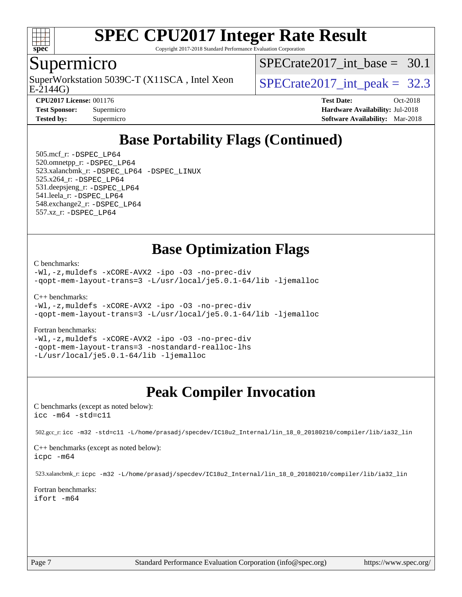

Copyright 2017-2018 Standard Performance Evaluation Corporation

## Supermicro

E-2144G) SuperWorkstation 5039C-T (X11SCA, Intel Xeon  $\big|$  SPECrate2017 int peak = 32.3

SPECrate2017 int\_base =  $30.1$ 

| <b>Test Sponsor:</b> | Supermi |
|----------------------|---------|
| <b>Tested by:</b>    | Supermi |

**[CPU2017 License:](http://www.spec.org/auto/cpu2017/Docs/result-fields.html#CPU2017License)** 001176 **[Test Date:](http://www.spec.org/auto/cpu2017/Docs/result-fields.html#TestDate)** Oct-2018 **[Test Sponsor:](http://www.spec.org/auto/cpu2017/Docs/result-fields.html#TestSponsor)** Supermicro **[Hardware Availability:](http://www.spec.org/auto/cpu2017/Docs/result-fields.html#HardwareAvailability)** Jul-2018 **[Tested by:](http://www.spec.org/auto/cpu2017/Docs/result-fields.html#Testedby)** [Software Availability:](http://www.spec.org/auto/cpu2017/Docs/result-fields.html#SoftwareAvailability) Mar-2018

# **[Base Portability Flags \(Continued\)](http://www.spec.org/auto/cpu2017/Docs/result-fields.html#BasePortabilityFlags)**

 505.mcf\_r: [-DSPEC\\_LP64](http://www.spec.org/cpu2017/results/res2018q4/cpu2017-20181029-09416.flags.html#suite_basePORTABILITY505_mcf_r_DSPEC_LP64) 520.omnetpp\_r: [-DSPEC\\_LP64](http://www.spec.org/cpu2017/results/res2018q4/cpu2017-20181029-09416.flags.html#suite_basePORTABILITY520_omnetpp_r_DSPEC_LP64) 523.xalancbmk\_r: [-DSPEC\\_LP64](http://www.spec.org/cpu2017/results/res2018q4/cpu2017-20181029-09416.flags.html#suite_basePORTABILITY523_xalancbmk_r_DSPEC_LP64) [-DSPEC\\_LINUX](http://www.spec.org/cpu2017/results/res2018q4/cpu2017-20181029-09416.flags.html#b523.xalancbmk_r_baseCXXPORTABILITY_DSPEC_LINUX) 525.x264\_r: [-DSPEC\\_LP64](http://www.spec.org/cpu2017/results/res2018q4/cpu2017-20181029-09416.flags.html#suite_basePORTABILITY525_x264_r_DSPEC_LP64) 531.deepsjeng\_r: [-DSPEC\\_LP64](http://www.spec.org/cpu2017/results/res2018q4/cpu2017-20181029-09416.flags.html#suite_basePORTABILITY531_deepsjeng_r_DSPEC_LP64) 541.leela\_r: [-DSPEC\\_LP64](http://www.spec.org/cpu2017/results/res2018q4/cpu2017-20181029-09416.flags.html#suite_basePORTABILITY541_leela_r_DSPEC_LP64) 548.exchange2\_r: [-DSPEC\\_LP64](http://www.spec.org/cpu2017/results/res2018q4/cpu2017-20181029-09416.flags.html#suite_basePORTABILITY548_exchange2_r_DSPEC_LP64) 557.xz\_r: [-DSPEC\\_LP64](http://www.spec.org/cpu2017/results/res2018q4/cpu2017-20181029-09416.flags.html#suite_basePORTABILITY557_xz_r_DSPEC_LP64)

## **[Base Optimization Flags](http://www.spec.org/auto/cpu2017/Docs/result-fields.html#BaseOptimizationFlags)**

[C benchmarks](http://www.spec.org/auto/cpu2017/Docs/result-fields.html#Cbenchmarks):

[-Wl,-z,muldefs](http://www.spec.org/cpu2017/results/res2018q4/cpu2017-20181029-09416.flags.html#user_CCbase_link_force_multiple1_b4cbdb97b34bdee9ceefcfe54f4c8ea74255f0b02a4b23e853cdb0e18eb4525ac79b5a88067c842dd0ee6996c24547a27a4b99331201badda8798ef8a743f577) [-xCORE-AVX2](http://www.spec.org/cpu2017/results/res2018q4/cpu2017-20181029-09416.flags.html#user_CCbase_f-xCORE-AVX2) [-ipo](http://www.spec.org/cpu2017/results/res2018q4/cpu2017-20181029-09416.flags.html#user_CCbase_f-ipo) [-O3](http://www.spec.org/cpu2017/results/res2018q4/cpu2017-20181029-09416.flags.html#user_CCbase_f-O3) [-no-prec-div](http://www.spec.org/cpu2017/results/res2018q4/cpu2017-20181029-09416.flags.html#user_CCbase_f-no-prec-div) [-qopt-mem-layout-trans=3](http://www.spec.org/cpu2017/results/res2018q4/cpu2017-20181029-09416.flags.html#user_CCbase_f-qopt-mem-layout-trans_de80db37974c74b1f0e20d883f0b675c88c3b01e9d123adea9b28688d64333345fb62bc4a798493513fdb68f60282f9a726aa07f478b2f7113531aecce732043) [-L/usr/local/je5.0.1-64/lib](http://www.spec.org/cpu2017/results/res2018q4/cpu2017-20181029-09416.flags.html#user_CCbase_jemalloc_link_path64_4b10a636b7bce113509b17f3bd0d6226c5fb2346b9178c2d0232c14f04ab830f976640479e5c33dc2bcbbdad86ecfb6634cbbd4418746f06f368b512fced5394) [-ljemalloc](http://www.spec.org/cpu2017/results/res2018q4/cpu2017-20181029-09416.flags.html#user_CCbase_jemalloc_link_lib_d1249b907c500fa1c0672f44f562e3d0f79738ae9e3c4a9c376d49f265a04b9c99b167ecedbf6711b3085be911c67ff61f150a17b3472be731631ba4d0471706)

[C++ benchmarks:](http://www.spec.org/auto/cpu2017/Docs/result-fields.html#CXXbenchmarks)

```
-Wl,-z,muldefs -xCORE-AVX2 -ipo -O3 -no-prec-div
-qopt-mem-layout-trans=3 -L/usr/local/je5.0.1-64/lib -ljemalloc
```
#### [Fortran benchmarks](http://www.spec.org/auto/cpu2017/Docs/result-fields.html#Fortranbenchmarks):

[-Wl,-z,muldefs](http://www.spec.org/cpu2017/results/res2018q4/cpu2017-20181029-09416.flags.html#user_FCbase_link_force_multiple1_b4cbdb97b34bdee9ceefcfe54f4c8ea74255f0b02a4b23e853cdb0e18eb4525ac79b5a88067c842dd0ee6996c24547a27a4b99331201badda8798ef8a743f577) [-xCORE-AVX2](http://www.spec.org/cpu2017/results/res2018q4/cpu2017-20181029-09416.flags.html#user_FCbase_f-xCORE-AVX2) [-ipo](http://www.spec.org/cpu2017/results/res2018q4/cpu2017-20181029-09416.flags.html#user_FCbase_f-ipo) [-O3](http://www.spec.org/cpu2017/results/res2018q4/cpu2017-20181029-09416.flags.html#user_FCbase_f-O3) [-no-prec-div](http://www.spec.org/cpu2017/results/res2018q4/cpu2017-20181029-09416.flags.html#user_FCbase_f-no-prec-div) [-qopt-mem-layout-trans=3](http://www.spec.org/cpu2017/results/res2018q4/cpu2017-20181029-09416.flags.html#user_FCbase_f-qopt-mem-layout-trans_de80db37974c74b1f0e20d883f0b675c88c3b01e9d123adea9b28688d64333345fb62bc4a798493513fdb68f60282f9a726aa07f478b2f7113531aecce732043) [-nostandard-realloc-lhs](http://www.spec.org/cpu2017/results/res2018q4/cpu2017-20181029-09416.flags.html#user_FCbase_f_2003_std_realloc_82b4557e90729c0f113870c07e44d33d6f5a304b4f63d4c15d2d0f1fab99f5daaed73bdb9275d9ae411527f28b936061aa8b9c8f2d63842963b95c9dd6426b8a) [-L/usr/local/je5.0.1-64/lib](http://www.spec.org/cpu2017/results/res2018q4/cpu2017-20181029-09416.flags.html#user_FCbase_jemalloc_link_path64_4b10a636b7bce113509b17f3bd0d6226c5fb2346b9178c2d0232c14f04ab830f976640479e5c33dc2bcbbdad86ecfb6634cbbd4418746f06f368b512fced5394) [-ljemalloc](http://www.spec.org/cpu2017/results/res2018q4/cpu2017-20181029-09416.flags.html#user_FCbase_jemalloc_link_lib_d1249b907c500fa1c0672f44f562e3d0f79738ae9e3c4a9c376d49f265a04b9c99b167ecedbf6711b3085be911c67ff61f150a17b3472be731631ba4d0471706)

# **[Peak Compiler Invocation](http://www.spec.org/auto/cpu2017/Docs/result-fields.html#PeakCompilerInvocation)**

[C benchmarks \(except as noted below\)](http://www.spec.org/auto/cpu2017/Docs/result-fields.html#Cbenchmarksexceptasnotedbelow): [icc -m64 -std=c11](http://www.spec.org/cpu2017/results/res2018q4/cpu2017-20181029-09416.flags.html#user_CCpeak_intel_icc_64bit_c11_33ee0cdaae7deeeab2a9725423ba97205ce30f63b9926c2519791662299b76a0318f32ddfffdc46587804de3178b4f9328c46fa7c2b0cd779d7a61945c91cd35)

502.gcc\_r: [icc -m32 -std=c11 -L/home/prasadj/specdev/IC18u2\\_Internal/lin\\_18\\_0\\_20180210/compiler/lib/ia32\\_lin](http://www.spec.org/cpu2017/results/res2018q4/cpu2017-20181029-09416.flags.html#user_peakCCLD502_gcc_r_intel_icc_a481ac844e7127046fad14d498c730a1848fa901fbbb2c3dfdd5e9fbbac777c8009953946d55d8b6afe8ed0da70dd2b4f8dedbdf7ab1ee211ba70d24a5d89f85)

[C++ benchmarks \(except as noted below\):](http://www.spec.org/auto/cpu2017/Docs/result-fields.html#CXXbenchmarksexceptasnotedbelow) [icpc -m64](http://www.spec.org/cpu2017/results/res2018q4/cpu2017-20181029-09416.flags.html#user_CXXpeak_intel_icpc_64bit_4ecb2543ae3f1412ef961e0650ca070fec7b7afdcd6ed48761b84423119d1bf6bdf5cad15b44d48e7256388bc77273b966e5eb805aefd121eb22e9299b2ec9d9)

523.xalancbmk\_r: [icpc -m32 -L/home/prasadj/specdev/IC18u2\\_Internal/lin\\_18\\_0\\_20180210/compiler/lib/ia32\\_lin](http://www.spec.org/cpu2017/results/res2018q4/cpu2017-20181029-09416.flags.html#user_peakCXXLD523_xalancbmk_r_intel_icpc_c6d030cd79af6ea7d6fb64c57e8fe7ae8fe0b96fc5a3b3f4a10e3273b3d7fa9decd8263f6330cef23f751cb093a69fae84a2bf4c243500a8eed069248128076f)

[Fortran benchmarks](http://www.spec.org/auto/cpu2017/Docs/result-fields.html#Fortranbenchmarks): [ifort -m64](http://www.spec.org/cpu2017/results/res2018q4/cpu2017-20181029-09416.flags.html#user_FCpeak_intel_ifort_64bit_24f2bb282fbaeffd6157abe4f878425411749daecae9a33200eee2bee2fe76f3b89351d69a8130dd5949958ce389cf37ff59a95e7a40d588e8d3a57e0c3fd751)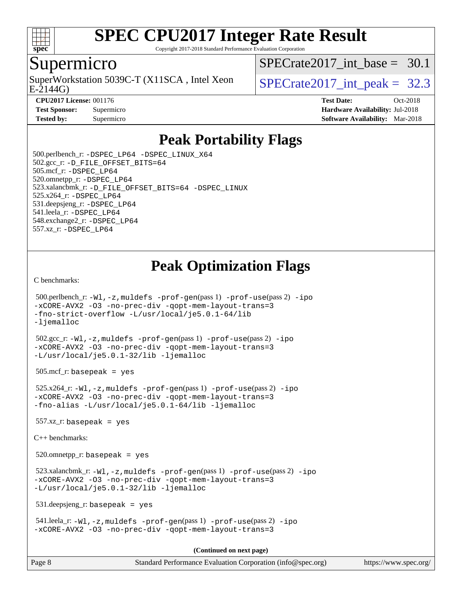

Copyright 2017-2018 Standard Performance Evaluation Corporation

## Supermicro

SuperWorkstation 5039C-T (X11SCA, Intel Xeon  $\big|$  SPECrate2017 int peak = 32.3

SPECrate2017 int\_base =  $30.1$ 

E-2144G)

**[CPU2017 License:](http://www.spec.org/auto/cpu2017/Docs/result-fields.html#CPU2017License)** 001176 **[Test Date:](http://www.spec.org/auto/cpu2017/Docs/result-fields.html#TestDate)** Oct-2018

**[Test Sponsor:](http://www.spec.org/auto/cpu2017/Docs/result-fields.html#TestSponsor)** Supermicro **[Hardware Availability:](http://www.spec.org/auto/cpu2017/Docs/result-fields.html#HardwareAvailability)** Jul-2018 **[Tested by:](http://www.spec.org/auto/cpu2017/Docs/result-fields.html#Testedby)** Supermicro **Supermicro [Software Availability:](http://www.spec.org/auto/cpu2017/Docs/result-fields.html#SoftwareAvailability)** Mar-2018

# **[Peak Portability Flags](http://www.spec.org/auto/cpu2017/Docs/result-fields.html#PeakPortabilityFlags)**

 500.perlbench\_r: [-DSPEC\\_LP64](http://www.spec.org/cpu2017/results/res2018q4/cpu2017-20181029-09416.flags.html#b500.perlbench_r_peakPORTABILITY_DSPEC_LP64) [-DSPEC\\_LINUX\\_X64](http://www.spec.org/cpu2017/results/res2018q4/cpu2017-20181029-09416.flags.html#b500.perlbench_r_peakCPORTABILITY_DSPEC_LINUX_X64) 502.gcc\_r: [-D\\_FILE\\_OFFSET\\_BITS=64](http://www.spec.org/cpu2017/results/res2018q4/cpu2017-20181029-09416.flags.html#user_peakPORTABILITY502_gcc_r_file_offset_bits_64_5ae949a99b284ddf4e95728d47cb0843d81b2eb0e18bdfe74bbf0f61d0b064f4bda2f10ea5eb90e1dcab0e84dbc592acfc5018bc955c18609f94ddb8d550002c) 505.mcf\_r: [-DSPEC\\_LP64](http://www.spec.org/cpu2017/results/res2018q4/cpu2017-20181029-09416.flags.html#suite_peakPORTABILITY505_mcf_r_DSPEC_LP64) 520.omnetpp\_r: [-DSPEC\\_LP64](http://www.spec.org/cpu2017/results/res2018q4/cpu2017-20181029-09416.flags.html#suite_peakPORTABILITY520_omnetpp_r_DSPEC_LP64) 523.xalancbmk\_r: [-D\\_FILE\\_OFFSET\\_BITS=64](http://www.spec.org/cpu2017/results/res2018q4/cpu2017-20181029-09416.flags.html#user_peakPORTABILITY523_xalancbmk_r_file_offset_bits_64_5ae949a99b284ddf4e95728d47cb0843d81b2eb0e18bdfe74bbf0f61d0b064f4bda2f10ea5eb90e1dcab0e84dbc592acfc5018bc955c18609f94ddb8d550002c) [-DSPEC\\_LINUX](http://www.spec.org/cpu2017/results/res2018q4/cpu2017-20181029-09416.flags.html#b523.xalancbmk_r_peakCXXPORTABILITY_DSPEC_LINUX) 525.x264\_r: [-DSPEC\\_LP64](http://www.spec.org/cpu2017/results/res2018q4/cpu2017-20181029-09416.flags.html#suite_peakPORTABILITY525_x264_r_DSPEC_LP64) 531.deepsjeng\_r: [-DSPEC\\_LP64](http://www.spec.org/cpu2017/results/res2018q4/cpu2017-20181029-09416.flags.html#suite_peakPORTABILITY531_deepsjeng_r_DSPEC_LP64) 541.leela\_r: [-DSPEC\\_LP64](http://www.spec.org/cpu2017/results/res2018q4/cpu2017-20181029-09416.flags.html#suite_peakPORTABILITY541_leela_r_DSPEC_LP64) 548.exchange2\_r: [-DSPEC\\_LP64](http://www.spec.org/cpu2017/results/res2018q4/cpu2017-20181029-09416.flags.html#suite_peakPORTABILITY548_exchange2_r_DSPEC_LP64) 557.xz\_r: [-DSPEC\\_LP64](http://www.spec.org/cpu2017/results/res2018q4/cpu2017-20181029-09416.flags.html#suite_peakPORTABILITY557_xz_r_DSPEC_LP64)

# **[Peak Optimization Flags](http://www.spec.org/auto/cpu2017/Docs/result-fields.html#PeakOptimizationFlags)**

[C benchmarks](http://www.spec.org/auto/cpu2017/Docs/result-fields.html#Cbenchmarks):

```
 500.perlbench_r: -Wl,-z,muldefs -prof-gen(pass 1) -prof-use(pass 2) -ipo
-xCORE-AVX2 -O3 -no-prec-div -qopt-mem-layout-trans=3
-fno-strict-overflow -L/usr/local/je5.0.1-64/lib
-ljemalloc
 502.gcc_r: -Wl,-z,muldefs -prof-gen(pass 1) -prof-use(pass 2) -ipo
-xCORE-AVX2 -O3 -no-prec-div -qopt-mem-layout-trans=3
-L/usr/local/je5.0.1-32/lib -ljemalloc
505.\text{mcf}_r: basepeak = yes
 525.x264_r: -Wl,-z,muldefs -prof-gen(pass 1) -prof-use(pass 2) -ipo
-xCORE-AVX2 -O3 -no-prec-div -qopt-mem-layout-trans=3
-fno-alias -L/usr/local/je5.0.1-64/lib -ljemalloc
557.xz r: basepeak = yes
C++ benchmarks: 
 520.omnetpp_r: basepeak = yes
 523.xalancbmk_r: -Wl,-z,muldefs -prof-gen(pass 1) -prof-use(pass 2) -ipo
-xCORE-AVX2 -O3 -no-prec-div -qopt-mem-layout-trans=3
-L/usr/local/je5.0.1-32/lib -ljemalloc
 531.deepsjeng_r: basepeak = yes
 541.leela_r: -Wl,-z,muldefs -prof-gen(pass 1) -prof-use(pass 2) -ipo
-xCORE-AVX2 -O3 -no-prec-div -qopt-mem-layout-trans=3
                                       (Continued on next page)
```